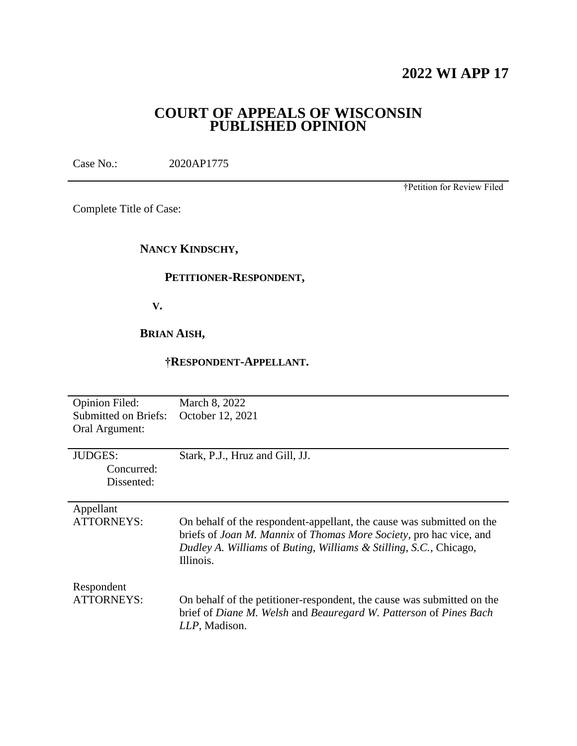## **2022 WI APP 17**

### **COURT OF APPEALS OF WISCONSIN PUBLISHED OPINION**

Case No.: 2020AP1775

†Petition for Review Filed

Complete Title of Case:

### **NANCY KINDSCHY,**

### **PETITIONER-RESPONDENT,**

 **V.**

**BRIAN AISH,**

### **†RESPONDENT-APPELLANT.**

| <b>Opinion Filed:</b><br><b>Submitted on Briefs:</b><br>Oral Argument: | March 8, 2022<br>October 12, 2021                                                                                                                                                                                                            |
|------------------------------------------------------------------------|----------------------------------------------------------------------------------------------------------------------------------------------------------------------------------------------------------------------------------------------|
| <b>JUDGES:</b><br>Concurred:<br>Dissented:                             | Stark, P.J., Hruz and Gill, JJ.                                                                                                                                                                                                              |
| Appellant<br><b>ATTORNEYS:</b>                                         | On behalf of the respondent-appellant, the cause was submitted on the<br>briefs of <i>Joan M. Mannix</i> of <i>Thomas More Society</i> , pro hac vice, and<br>Dudley A. Williams of Buting, Williams & Stilling, S.C., Chicago,<br>Illinois. |
| Respondent<br><b>ATTORNEYS:</b>                                        | On behalf of the petitioner-respondent, the cause was submitted on the<br>brief of Diane M. Welsh and Beauregard W. Patterson of Pines Bach<br>LLP, Madison.                                                                                 |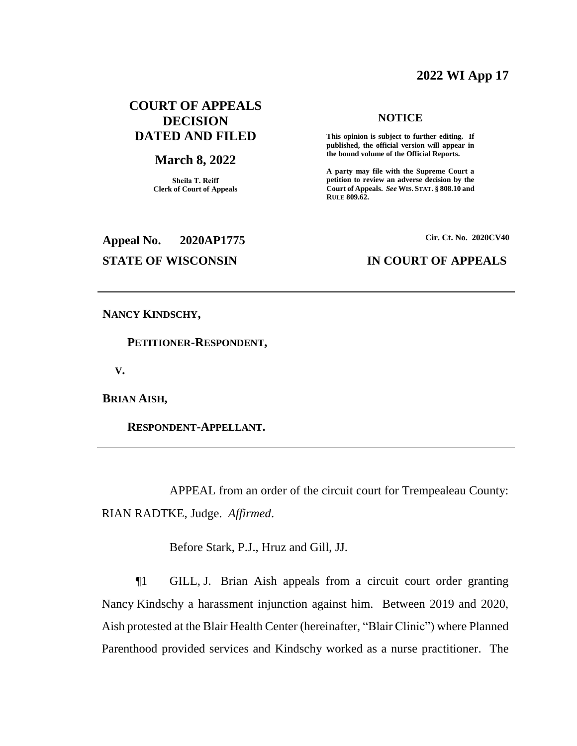### **2022 WI App 17**

### **COURT OF APPEALS DECISION DATED AND FILED**

### **March 8, 2022**

**Sheila T. Reiff Clerk of Court of Appeals**

# **Appeal No. 2020AP1775 Cir. Ct. No. 2020CV40**

### **NOTICE**

**This opinion is subject to further editing. If published, the official version will appear in the bound volume of the Official Reports.** 

**A party may file with the Supreme Court a petition to review an adverse decision by the Court of Appeals.** *See* **WIS. STAT. § 808.10 and RULE 809.62.** 

### **STATE OF WISCONSIN IN COURT OF APPEALS**

**NANCY KINDSCHY,**

 **PETITIONER-RESPONDENT,**

 **V.**

**BRIAN AISH,**

 **RESPONDENT-APPELLANT.**

APPEAL from an order of the circuit court for Trempealeau County: RIAN RADTKE, Judge. *Affirmed*.

Before Stark, P.J., Hruz and Gill, JJ.

¶1 GILL, J. Brian Aish appeals from a circuit court order granting Nancy Kindschy a harassment injunction against him. Between 2019 and 2020, Aish protested at the Blair Health Center (hereinafter, "Blair Clinic") where Planned Parenthood provided services and Kindschy worked as a nurse practitioner. The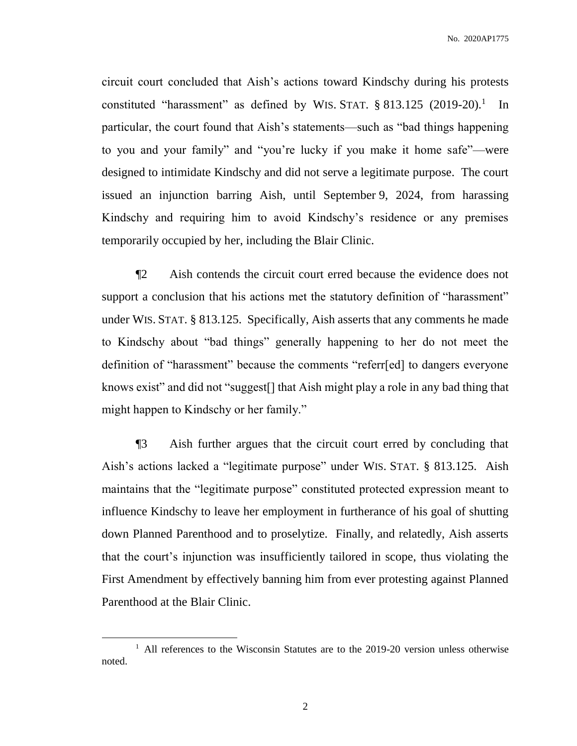circuit court concluded that Aish's actions toward Kindschy during his protests constituted "harassment" as defined by WIS. STAT.  $\S$  813.125 (2019-20).<sup>1</sup> In particular, the court found that Aish's statements—such as "bad things happening to you and your family" and "you're lucky if you make it home safe"—were designed to intimidate Kindschy and did not serve a legitimate purpose. The court issued an injunction barring Aish, until September 9, 2024, from harassing Kindschy and requiring him to avoid Kindschy's residence or any premises temporarily occupied by her, including the Blair Clinic.

¶2 Aish contends the circuit court erred because the evidence does not support a conclusion that his actions met the statutory definition of "harassment" under WIS. STAT. § 813.125. Specifically, Aish asserts that any comments he made to Kindschy about "bad things" generally happening to her do not meet the definition of "harassment" because the comments "referr[ed] to dangers everyone knows exist" and did not "suggest[] that Aish might play a role in any bad thing that might happen to Kindschy or her family."

¶3 Aish further argues that the circuit court erred by concluding that Aish's actions lacked a "legitimate purpose" under WIS. STAT. § 813.125. Aish maintains that the "legitimate purpose" constituted protected expression meant to influence Kindschy to leave her employment in furtherance of his goal of shutting down Planned Parenthood and to proselytize. Finally, and relatedly, Aish asserts that the court's injunction was insufficiently tailored in scope, thus violating the First Amendment by effectively banning him from ever protesting against Planned Parenthood at the Blair Clinic.

 $\overline{a}$ 

<sup>&</sup>lt;sup>1</sup> All references to the Wisconsin Statutes are to the 2019-20 version unless otherwise noted.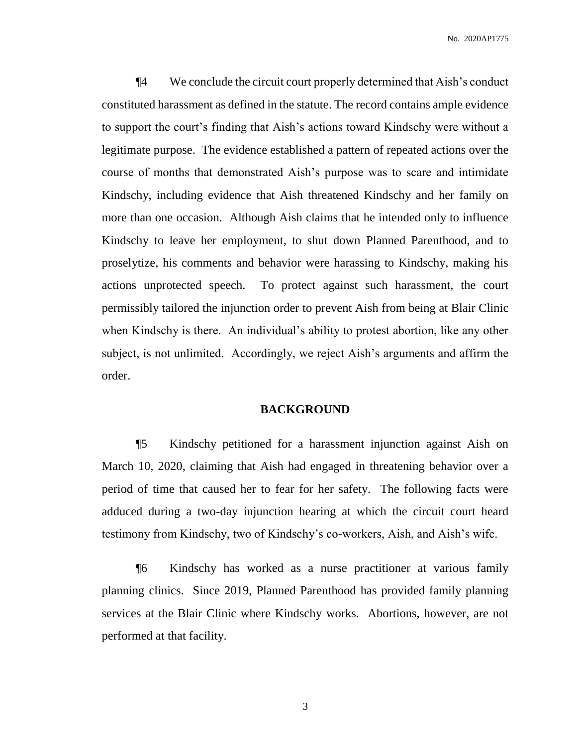¶4 We conclude the circuit court properly determined that Aish's conduct constituted harassment as defined in the statute. The record contains ample evidence to support the court's finding that Aish's actions toward Kindschy were without a legitimate purpose. The evidence established a pattern of repeated actions over the course of months that demonstrated Aish's purpose was to scare and intimidate Kindschy, including evidence that Aish threatened Kindschy and her family on more than one occasion. Although Aish claims that he intended only to influence Kindschy to leave her employment, to shut down Planned Parenthood, and to proselytize, his comments and behavior were harassing to Kindschy, making his actions unprotected speech. To protect against such harassment, the court permissibly tailored the injunction order to prevent Aish from being at Blair Clinic when Kindschy is there. An individual's ability to protest abortion, like any other subject, is not unlimited. Accordingly, we reject Aish's arguments and affirm the order.

### **BACKGROUND**

¶5 Kindschy petitioned for a harassment injunction against Aish on March 10, 2020, claiming that Aish had engaged in threatening behavior over a period of time that caused her to fear for her safety. The following facts were adduced during a two-day injunction hearing at which the circuit court heard testimony from Kindschy, two of Kindschy's co-workers, Aish, and Aish's wife.

¶6 Kindschy has worked as a nurse practitioner at various family planning clinics. Since 2019, Planned Parenthood has provided family planning services at the Blair Clinic where Kindschy works. Abortions, however, are not performed at that facility.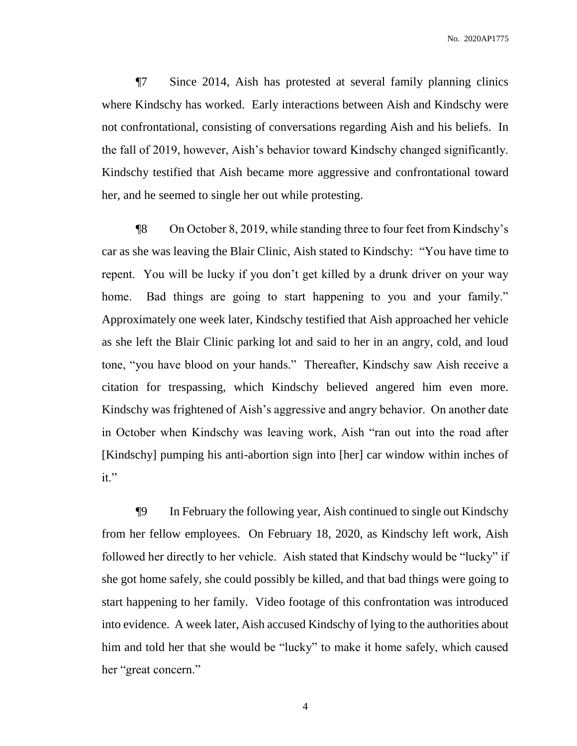¶7 Since 2014, Aish has protested at several family planning clinics where Kindschy has worked. Early interactions between Aish and Kindschy were not confrontational, consisting of conversations regarding Aish and his beliefs. In the fall of 2019, however, Aish's behavior toward Kindschy changed significantly. Kindschy testified that Aish became more aggressive and confrontational toward her, and he seemed to single her out while protesting.

¶8 On October 8, 2019, while standing three to four feet from Kindschy's car as she was leaving the Blair Clinic, Aish stated to Kindschy: "You have time to repent. You will be lucky if you don't get killed by a drunk driver on your way home. Bad things are going to start happening to you and your family." Approximately one week later, Kindschy testified that Aish approached her vehicle as she left the Blair Clinic parking lot and said to her in an angry, cold, and loud tone, "you have blood on your hands." Thereafter, Kindschy saw Aish receive a citation for trespassing, which Kindschy believed angered him even more. Kindschy was frightened of Aish's aggressive and angry behavior. On another date in October when Kindschy was leaving work, Aish "ran out into the road after [Kindschy] pumping his anti-abortion sign into [her] car window within inches of it."

¶9 In February the following year, Aish continued to single out Kindschy from her fellow employees. On February 18, 2020, as Kindschy left work, Aish followed her directly to her vehicle. Aish stated that Kindschy would be "lucky" if she got home safely, she could possibly be killed, and that bad things were going to start happening to her family. Video footage of this confrontation was introduced into evidence. A week later, Aish accused Kindschy of lying to the authorities about him and told her that she would be "lucky" to make it home safely, which caused her "great concern."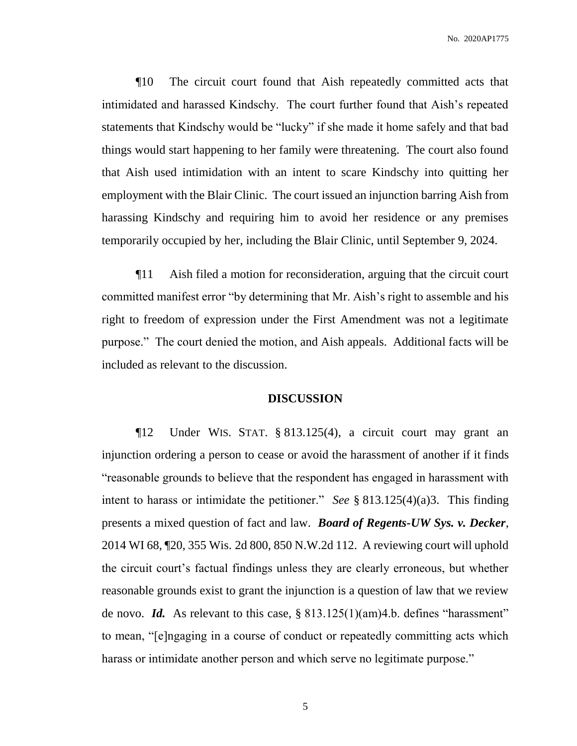¶10 The circuit court found that Aish repeatedly committed acts that intimidated and harassed Kindschy. The court further found that Aish's repeated statements that Kindschy would be "lucky" if she made it home safely and that bad things would start happening to her family were threatening. The court also found that Aish used intimidation with an intent to scare Kindschy into quitting her employment with the Blair Clinic. The court issued an injunction barring Aish from harassing Kindschy and requiring him to avoid her residence or any premises temporarily occupied by her, including the Blair Clinic, until September 9, 2024.

¶11 Aish filed a motion for reconsideration, arguing that the circuit court committed manifest error "by determining that Mr. Aish's right to assemble and his right to freedom of expression under the First Amendment was not a legitimate purpose." The court denied the motion, and Aish appeals. Additional facts will be included as relevant to the discussion.

### **DISCUSSION**

¶12 Under WIS. STAT. § 813.125(4), a circuit court may grant an injunction ordering a person to cease or avoid the harassment of another if it finds "reasonable grounds to believe that the respondent has engaged in harassment with intent to harass or intimidate the petitioner." *See* § 813.125(4)(a)3. This finding presents a mixed question of fact and law. *Board of Regents-UW Sys. v. Decker*, 2014 WI 68, ¶20, 355 Wis. 2d 800, 850 N.W.2d 112. A reviewing court will uphold the circuit court's factual findings unless they are clearly erroneous, but whether reasonable grounds exist to grant the injunction is a question of law that we review de novo. *Id.* As relevant to this case, § 813.125(1)(am)4.b. defines "harassment" to mean, "[e]ngaging in a course of conduct or repeatedly committing acts which harass or intimidate another person and which serve no legitimate purpose."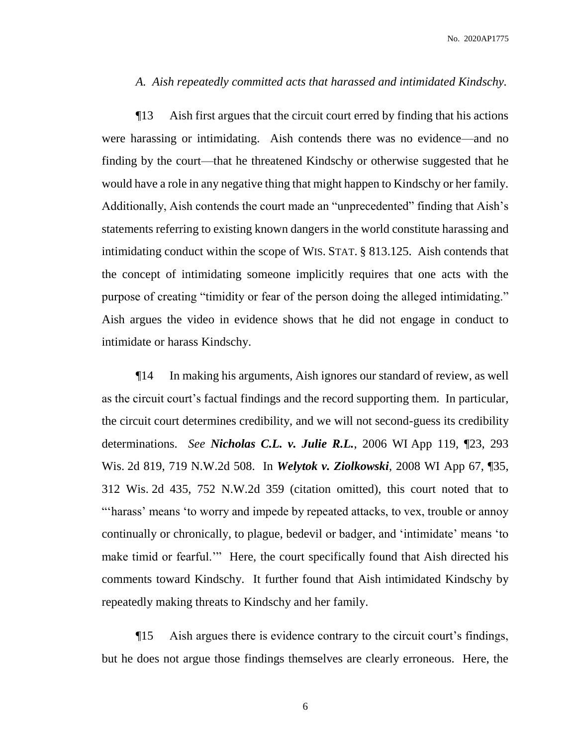### *A. Aish repeatedly committed acts that harassed and intimidated Kindschy.*

¶13 Aish first argues that the circuit court erred by finding that his actions were harassing or intimidating. Aish contends there was no evidence—and no finding by the court—that he threatened Kindschy or otherwise suggested that he would have a role in any negative thing that might happen to Kindschy or her family. Additionally, Aish contends the court made an "unprecedented" finding that Aish's statements referring to existing known dangers in the world constitute harassing and intimidating conduct within the scope of WIS. STAT. § 813.125. Aish contends that the concept of intimidating someone implicitly requires that one acts with the purpose of creating "timidity or fear of the person doing the alleged intimidating." Aish argues the video in evidence shows that he did not engage in conduct to intimidate or harass Kindschy.

¶14 In making his arguments, Aish ignores our standard of review, as well as the circuit court's factual findings and the record supporting them. In particular, the circuit court determines credibility, and we will not second-guess its credibility determinations. *See Nicholas C.L. v. Julie R.L.*, 2006 WI App 119, ¶23, 293 Wis. 2d 819, 719 N.W.2d 508. In *Welytok v. Ziolkowski*, 2008 WI App 67, ¶35, 312 Wis. 2d 435, 752 N.W.2d 359 (citation omitted), this court noted that to "'harass' means 'to worry and impede by repeated attacks, to vex, trouble or annoy continually or chronically, to plague, bedevil or badger, and 'intimidate' means 'to make timid or fearful."" Here, the court specifically found that Aish directed his comments toward Kindschy. It further found that Aish intimidated Kindschy by repeatedly making threats to Kindschy and her family.

¶15 Aish argues there is evidence contrary to the circuit court's findings, but he does not argue those findings themselves are clearly erroneous. Here, the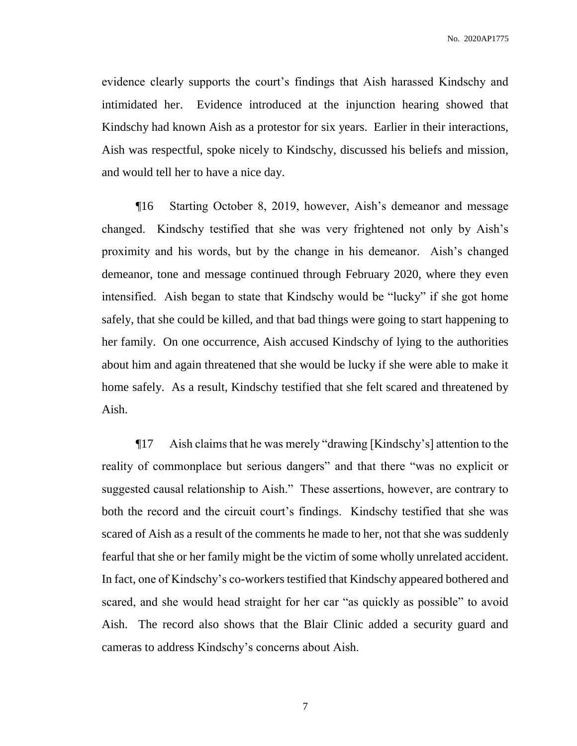evidence clearly supports the court's findings that Aish harassed Kindschy and intimidated her. Evidence introduced at the injunction hearing showed that Kindschy had known Aish as a protestor for six years. Earlier in their interactions, Aish was respectful, spoke nicely to Kindschy, discussed his beliefs and mission, and would tell her to have a nice day.

¶16 Starting October 8, 2019, however, Aish's demeanor and message changed. Kindschy testified that she was very frightened not only by Aish's proximity and his words, but by the change in his demeanor. Aish's changed demeanor, tone and message continued through February 2020, where they even intensified. Aish began to state that Kindschy would be "lucky" if she got home safely, that she could be killed, and that bad things were going to start happening to her family. On one occurrence, Aish accused Kindschy of lying to the authorities about him and again threatened that she would be lucky if she were able to make it home safely. As a result, Kindschy testified that she felt scared and threatened by Aish.

¶17 Aish claims that he was merely "drawing [Kindschy's] attention to the reality of commonplace but serious dangers" and that there "was no explicit or suggested causal relationship to Aish." These assertions, however, are contrary to both the record and the circuit court's findings. Kindschy testified that she was scared of Aish as a result of the comments he made to her, not that she was suddenly fearful that she or her family might be the victim of some wholly unrelated accident. In fact, one of Kindschy's co-workers testified that Kindschy appeared bothered and scared, and she would head straight for her car "as quickly as possible" to avoid Aish. The record also shows that the Blair Clinic added a security guard and cameras to address Kindschy's concerns about Aish.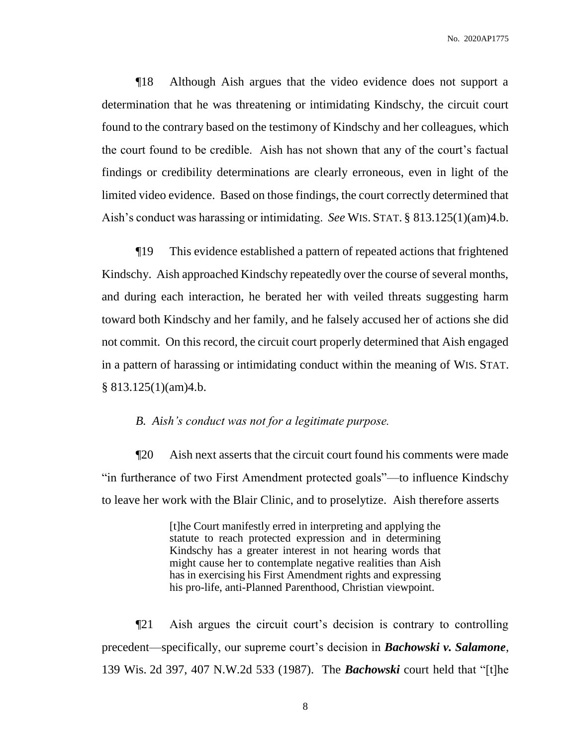¶18 Although Aish argues that the video evidence does not support a determination that he was threatening or intimidating Kindschy, the circuit court found to the contrary based on the testimony of Kindschy and her colleagues, which the court found to be credible. Aish has not shown that any of the court's factual findings or credibility determinations are clearly erroneous, even in light of the limited video evidence. Based on those findings, the court correctly determined that Aish's conduct was harassing or intimidating. *See* WIS. STAT. § 813.125(1)(am)4.b.

¶19 This evidence established a pattern of repeated actions that frightened Kindschy. Aish approached Kindschy repeatedly over the course of several months, and during each interaction, he berated her with veiled threats suggesting harm toward both Kindschy and her family, and he falsely accused her of actions she did not commit. On this record, the circuit court properly determined that Aish engaged in a pattern of harassing or intimidating conduct within the meaning of WIS. STAT. § 813.125(1)(am)4.b.

### *B. Aish's conduct was not for a legitimate purpose.*

¶20 Aish next asserts that the circuit court found his comments were made "in furtherance of two First Amendment protected goals"—to influence Kindschy to leave her work with the Blair Clinic, and to proselytize. Aish therefore asserts

> [t]he Court manifestly erred in interpreting and applying the statute to reach protected expression and in determining Kindschy has a greater interest in not hearing words that might cause her to contemplate negative realities than Aish has in exercising his First Amendment rights and expressing his pro-life, anti-Planned Parenthood, Christian viewpoint.

¶21 Aish argues the circuit court's decision is contrary to controlling precedent—specifically, our supreme court's decision in *Bachowski v. Salamone*, 139 Wis. 2d 397, 407 N.W.2d 533 (1987). The *Bachowski* court held that "[t]he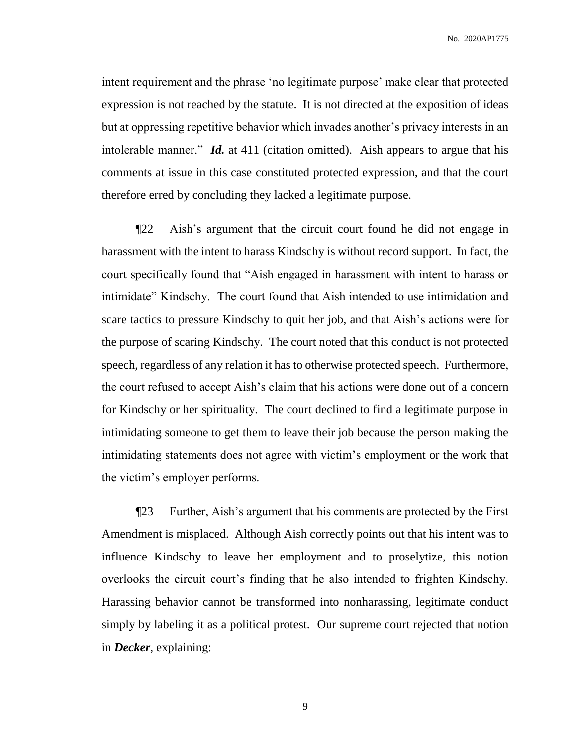intent requirement and the phrase 'no legitimate purpose' make clear that protected expression is not reached by the statute. It is not directed at the exposition of ideas but at oppressing repetitive behavior which invades another's privacy interests in an intolerable manner." *Id.* at 411 (citation omitted). Aish appears to argue that his comments at issue in this case constituted protected expression, and that the court therefore erred by concluding they lacked a legitimate purpose.

¶22 Aish's argument that the circuit court found he did not engage in harassment with the intent to harass Kindschy is without record support. In fact, the court specifically found that "Aish engaged in harassment with intent to harass or intimidate" Kindschy. The court found that Aish intended to use intimidation and scare tactics to pressure Kindschy to quit her job, and that Aish's actions were for the purpose of scaring Kindschy. The court noted that this conduct is not protected speech, regardless of any relation it has to otherwise protected speech. Furthermore, the court refused to accept Aish's claim that his actions were done out of a concern for Kindschy or her spirituality. The court declined to find a legitimate purpose in intimidating someone to get them to leave their job because the person making the intimidating statements does not agree with victim's employment or the work that the victim's employer performs.

¶23 Further, Aish's argument that his comments are protected by the First Amendment is misplaced. Although Aish correctly points out that his intent was to influence Kindschy to leave her employment and to proselytize, this notion overlooks the circuit court's finding that he also intended to frighten Kindschy. Harassing behavior cannot be transformed into nonharassing, legitimate conduct simply by labeling it as a political protest. Our supreme court rejected that notion in *Decker*, explaining: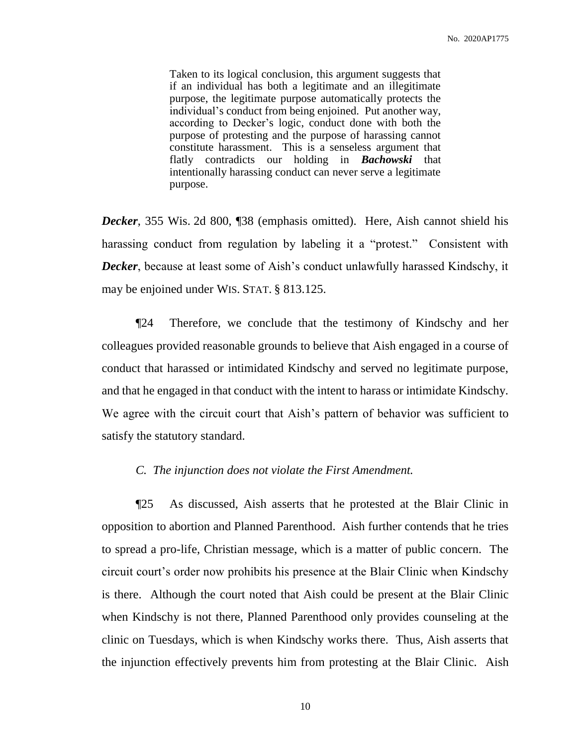Taken to its logical conclusion, this argument suggests that if an individual has both a legitimate and an illegitimate purpose, the legitimate purpose automatically protects the individual's conduct from being enjoined. Put another way, according to Decker's logic, conduct done with both the purpose of protesting and the purpose of harassing cannot constitute harassment. This is a senseless argument that flatly contradicts our holding in *Bachowski* that intentionally harassing conduct can never serve a legitimate purpose.

*Decker*, 355 Wis. 2d 800, ¶38 (emphasis omitted). Here, Aish cannot shield his harassing conduct from regulation by labeling it a "protest." Consistent with *Decker*, because at least some of Aish's conduct unlawfully harassed Kindschy, it may be enjoined under WIS. STAT. § 813.125.

¶24 Therefore, we conclude that the testimony of Kindschy and her colleagues provided reasonable grounds to believe that Aish engaged in a course of conduct that harassed or intimidated Kindschy and served no legitimate purpose, and that he engaged in that conduct with the intent to harass or intimidate Kindschy. We agree with the circuit court that Aish's pattern of behavior was sufficient to satisfy the statutory standard.

### *C. The injunction does not violate the First Amendment.*

¶25 As discussed, Aish asserts that he protested at the Blair Clinic in opposition to abortion and Planned Parenthood. Aish further contends that he tries to spread a pro-life, Christian message, which is a matter of public concern. The circuit court's order now prohibits his presence at the Blair Clinic when Kindschy is there. Although the court noted that Aish could be present at the Blair Clinic when Kindschy is not there, Planned Parenthood only provides counseling at the clinic on Tuesdays, which is when Kindschy works there. Thus, Aish asserts that the injunction effectively prevents him from protesting at the Blair Clinic. Aish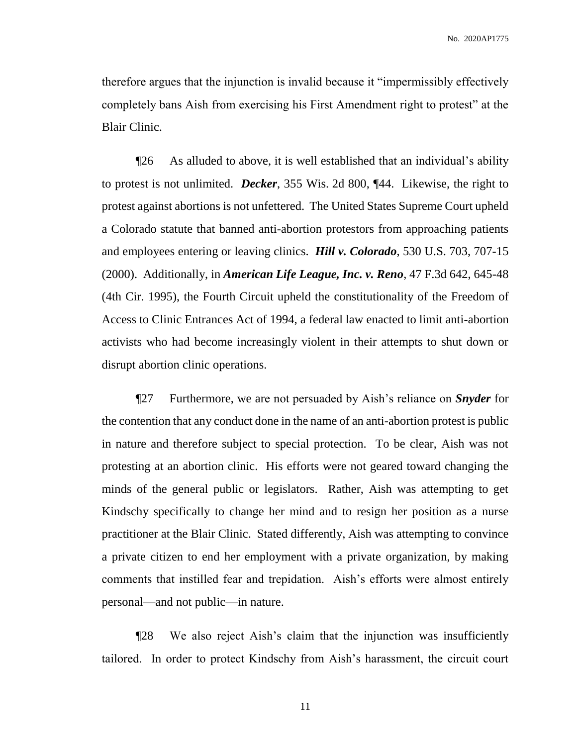therefore argues that the injunction is invalid because it "impermissibly effectively completely bans Aish from exercising his First Amendment right to protest" at the Blair Clinic.

¶26 As alluded to above, it is well established that an individual's ability to protest is not unlimited. *Decker*, 355 Wis. 2d 800, ¶44. Likewise, the right to protest against abortions is not unfettered. The United States Supreme Court upheld a Colorado statute that banned anti-abortion protestors from approaching patients and employees entering or leaving clinics. *Hill v. Colorado*, 530 U.S. 703, 707-15 (2000). Additionally, in *American Life League, Inc. v. Reno*, 47 F.3d 642, 645-48 (4th Cir. 1995), the Fourth Circuit upheld the constitutionality of the Freedom of Access to Clinic Entrances Act of 1994, a federal law enacted to limit anti-abortion activists who had become increasingly violent in their attempts to shut down or disrupt abortion clinic operations.

¶27 Furthermore, we are not persuaded by Aish's reliance on *Snyder* for the contention that any conduct done in the name of an anti-abortion protest is public in nature and therefore subject to special protection. To be clear, Aish was not protesting at an abortion clinic. His efforts were not geared toward changing the minds of the general public or legislators. Rather, Aish was attempting to get Kindschy specifically to change her mind and to resign her position as a nurse practitioner at the Blair Clinic. Stated differently, Aish was attempting to convince a private citizen to end her employment with a private organization, by making comments that instilled fear and trepidation. Aish's efforts were almost entirely personal—and not public—in nature.

¶28 We also reject Aish's claim that the injunction was insufficiently tailored. In order to protect Kindschy from Aish's harassment, the circuit court